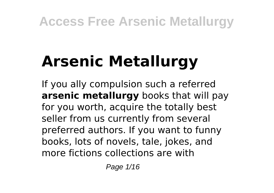# **Arsenic Metallurgy**

If you ally compulsion such a referred **arsenic metallurgy** books that will pay for you worth, acquire the totally best seller from us currently from several preferred authors. If you want to funny books, lots of novels, tale, jokes, and more fictions collections are with

Page 1/16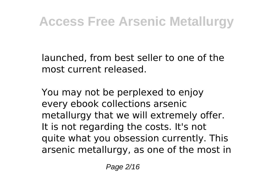launched, from best seller to one of the most current released.

You may not be perplexed to enjoy every ebook collections arsenic metallurgy that we will extremely offer. It is not regarding the costs. It's not quite what you obsession currently. This arsenic metallurgy, as one of the most in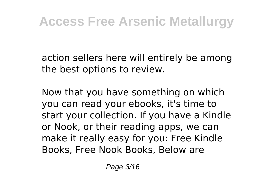action sellers here will entirely be among the best options to review.

Now that you have something on which you can read your ebooks, it's time to start your collection. If you have a Kindle or Nook, or their reading apps, we can make it really easy for you: Free Kindle Books, Free Nook Books, Below are

Page 3/16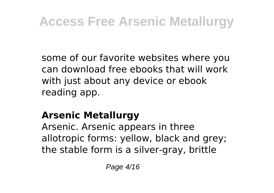some of our favorite websites where you can download free ebooks that will work with just about any device or ebook reading app.

#### **Arsenic Metallurgy**

Arsenic. Arsenic appears in three allotropic forms: yellow, black and grey; the stable form is a silver-gray, brittle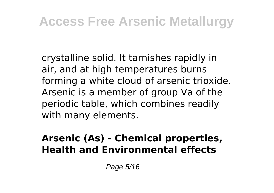crystalline solid. It tarnishes rapidly in air, and at high temperatures burns forming a white cloud of arsenic trioxide. Arsenic is a member of group Va of the periodic table, which combines readily with many elements.

#### **Arsenic (As) - Chemical properties, Health and Environmental effects**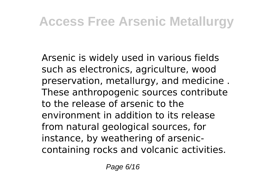Arsenic is widely used in various fields such as electronics, agriculture, wood preservation, metallurgy, and medicine . These anthropogenic sources contribute to the release of arsenic to the environment in addition to its release from natural geological sources, for instance, by weathering of arseniccontaining rocks and volcanic activities.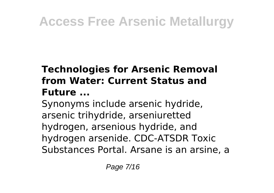#### **Technologies for Arsenic Removal from Water: Current Status and Future ...**

Synonyms include arsenic hydride, arsenic trihydride, arseniuretted hydrogen, arsenious hydride, and hydrogen arsenide. CDC-ATSDR Toxic Substances Portal. Arsane is an arsine, a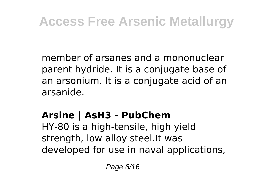member of arsanes and a mononuclear parent hydride. It is a conjugate base of an arsonium. It is a conjugate acid of an arsanide.

#### **Arsine | AsH3 - PubChem**

HY-80 is a high-tensile, high yield strength, low alloy steel.It was developed for use in naval applications,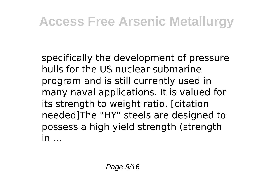specifically the development of pressure hulls for the US nuclear submarine program and is still currently used in many naval applications. It is valued for its strength to weight ratio. [citation needed]The "HY" steels are designed to possess a high yield strength (strength  $in$ ...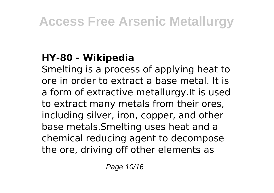#### **HY-80 - Wikipedia**

Smelting is a process of applying heat to ore in order to extract a base metal. It is a form of extractive metallurgy.It is used to extract many metals from their ores, including silver, iron, copper, and other base metals.Smelting uses heat and a chemical reducing agent to decompose the ore, driving off other elements as

Page 10/16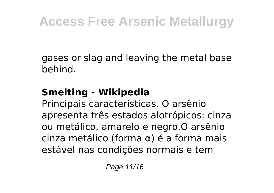gases or slag and leaving the metal base behind.

#### **Smelting - Wikipedia**

Principais características. O arsênio apresenta três estados alotrópicos: cinza ou metálico, amarelo e negro.O arsênio cinza metálico (forma α) é a forma mais estável nas condições normais e tem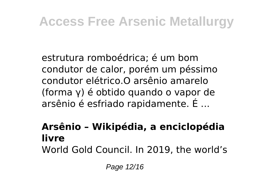estrutura romboédrica; é um bom condutor de calor, porém um péssimo condutor elétrico.O arsênio amarelo (forma γ) é obtido quando o vapor de arsênio é esfriado rapidamente. É ...

#### **Arsênio – Wikipédia, a enciclopédia livre**

World Gold Council. In 2019, the world's

Page 12/16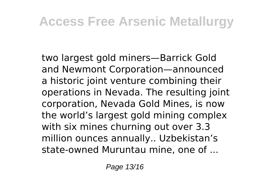two largest gold miners—Barrick Gold and Newmont Corporation—announced a historic joint venture combining their operations in Nevada. The resulting joint corporation, Nevada Gold Mines, is now the world's largest gold mining complex with six mines churning out over 3.3 million ounces annually.. Uzbekistan's state-owned Muruntau mine, one of ...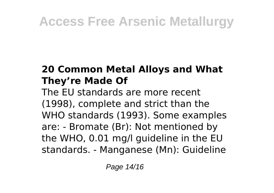#### **20 Common Metal Alloys and What They're Made Of**

The EU standards are more recent (1998), complete and strict than the WHO standards (1993). Some examples are: - Bromate (Br): Not mentioned by the WHO, 0.01 mg/l guideline in the EU standards. - Manganese (Mn): Guideline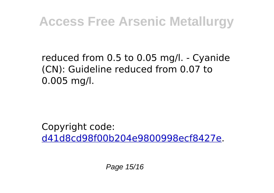#### reduced from 0.5 to 0.05 mg/l. - Cyanide (CN): Guideline reduced from 0.07 to 0.005 mg/l.

Copyright code: [d41d8cd98f00b204e9800998ecf8427e.](/sitemap.xml)

Page 15/16